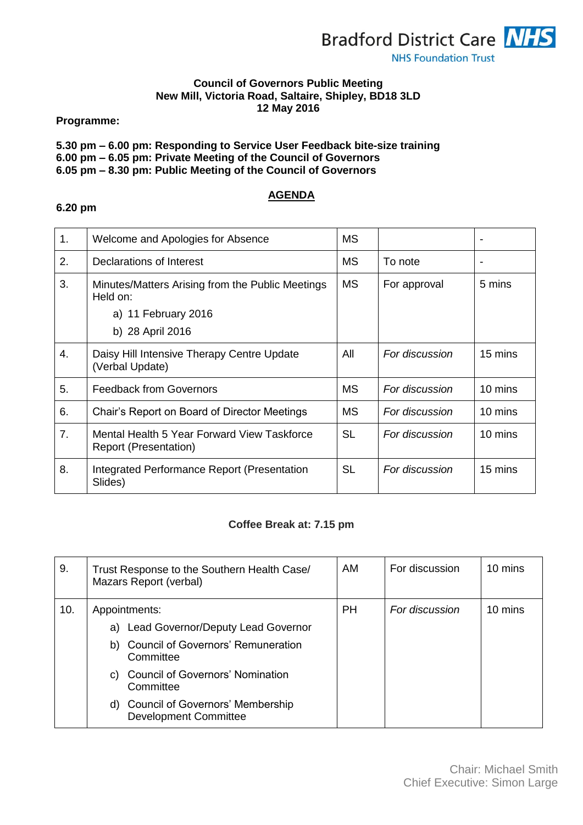

## **Council of Governors Public Meeting New Mill, Victoria Road, Saltaire, Shipley, BD18 3LD 12 May 2016**

**Programme:**

# **5.30 pm – 6.00 pm: Responding to Service User Feedback bite-size training**

**6.00 pm – 6.05 pm: Private Meeting of the Council of Governors**

**6.05 pm – 8.30 pm: Public Meeting of the Council of Governors**

## **AGENDA**

| 1. | Welcome and Apologies for Absence                                    | МS        |                |         |
|----|----------------------------------------------------------------------|-----------|----------------|---------|
| 2. | Declarations of Interest                                             | МS        | To note        |         |
| 3. | Minutes/Matters Arising from the Public Meetings<br>Held on:         | <b>MS</b> | For approval   | 5 mins  |
|    | a) 11 February 2016                                                  |           |                |         |
|    | b) 28 April 2016                                                     |           |                |         |
| 4. | Daisy Hill Intensive Therapy Centre Update<br>(Verbal Update)        | All       | For discussion | 15 mins |
| 5. | <b>Feedback from Governors</b>                                       | <b>MS</b> | For discussion | 10 mins |
| 6. | Chair's Report on Board of Director Meetings                         | <b>MS</b> | For discussion | 10 mins |
| 7. | Mental Health 5 Year Forward View Taskforce<br>Report (Presentation) | <b>SL</b> | For discussion | 10 mins |
| 8. | Integrated Performance Report (Presentation<br>Slides)               | <b>SL</b> | For discussion | 15 mins |

### **Coffee Break at: 7.15 pm**

| 9.  | Trust Response to the Southern Health Case/<br>Mazars Report (verbal)                                                                                                                                                                                | <b>AM</b> | For discussion | 10 mins |
|-----|------------------------------------------------------------------------------------------------------------------------------------------------------------------------------------------------------------------------------------------------------|-----------|----------------|---------|
| 10. | Appointments:<br>Lead Governor/Deputy Lead Governor<br>a)<br>b) Council of Governors' Remuneration<br>Committee<br><b>Council of Governors' Nomination</b><br>C)<br>Committee<br>d) Council of Governors' Membership<br><b>Development Committee</b> | <b>PH</b> | For discussion | 10 mins |

### **6.20 pm**